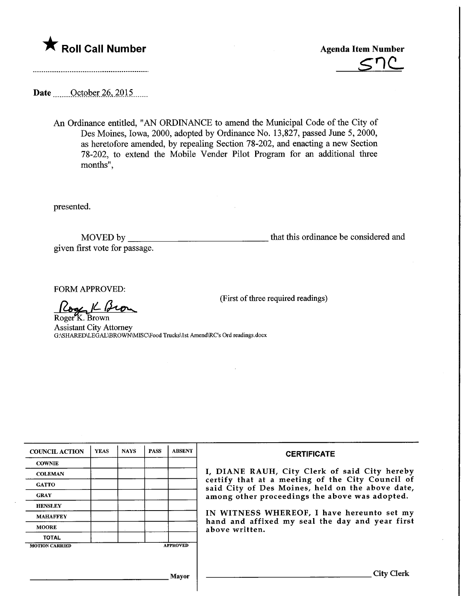



Date ... October 26, 2015...

An Ordinance entitled, "AN ORDINANCE to amend the Municipal Code of the City of Des Moines, Iowa, 2000, adopted by Ordinance No. 13,827, passed June 5, 2000, as heretofore amended, by repealing Section 78-202, and enacting a new Section 78-202, to extend the Mobile Vender Pilot Program for an additional three months",

presented.

MOVED by. that this ordinance be considered and given first vote for passage.

(First of three required readings)

FORM APPROVED:

Roge K Bron Roger<sup>Y</sup>K. Brown

Assistant City Attorney G:\SHARED\LEGAL\BROWN\MISC\Food Trucks\1st Amend\RC's Ord readings.docx

| <b>COUNCIL ACTION</b> | <b>YEAS</b> | <b>NAYS</b> | <b>PASS</b> | <b>ABSENT</b>   | <b>CERTIFICATE</b>                                                                                                                                                                                      |  |  |
|-----------------------|-------------|-------------|-------------|-----------------|---------------------------------------------------------------------------------------------------------------------------------------------------------------------------------------------------------|--|--|
| <b>COWNIE</b>         |             |             |             |                 |                                                                                                                                                                                                         |  |  |
| <b>COLEMAN</b>        |             |             |             |                 | I, DIANE RAUH, City Clerk of said City hereby<br>certify that at a meeting of the City Council of<br>said City of Des Moines, held on the above date,<br>among other proceedings the above was adopted. |  |  |
| <b>GATTO</b>          |             |             |             |                 |                                                                                                                                                                                                         |  |  |
| <b>GRAY</b>           |             |             |             |                 |                                                                                                                                                                                                         |  |  |
| <b>HENSLEY</b>        |             |             |             |                 |                                                                                                                                                                                                         |  |  |
| <b>MAHAFFEY</b>       |             |             |             |                 | IN WITNESS WHEREOF, I have hereunto set my<br>hand and affixed my seal the day and year first<br>above written.                                                                                         |  |  |
| <b>MOORE</b>          |             |             |             |                 |                                                                                                                                                                                                         |  |  |
| <b>TOTAL</b>          |             |             |             |                 |                                                                                                                                                                                                         |  |  |
| <b>MOTION CARRIED</b> |             |             |             | <b>APPROVED</b> |                                                                                                                                                                                                         |  |  |
|                       |             |             |             |                 |                                                                                                                                                                                                         |  |  |
|                       |             |             |             |                 |                                                                                                                                                                                                         |  |  |
| Mayor                 |             |             |             |                 | <b>City Clerk</b>                                                                                                                                                                                       |  |  |
|                       |             |             |             |                 |                                                                                                                                                                                                         |  |  |